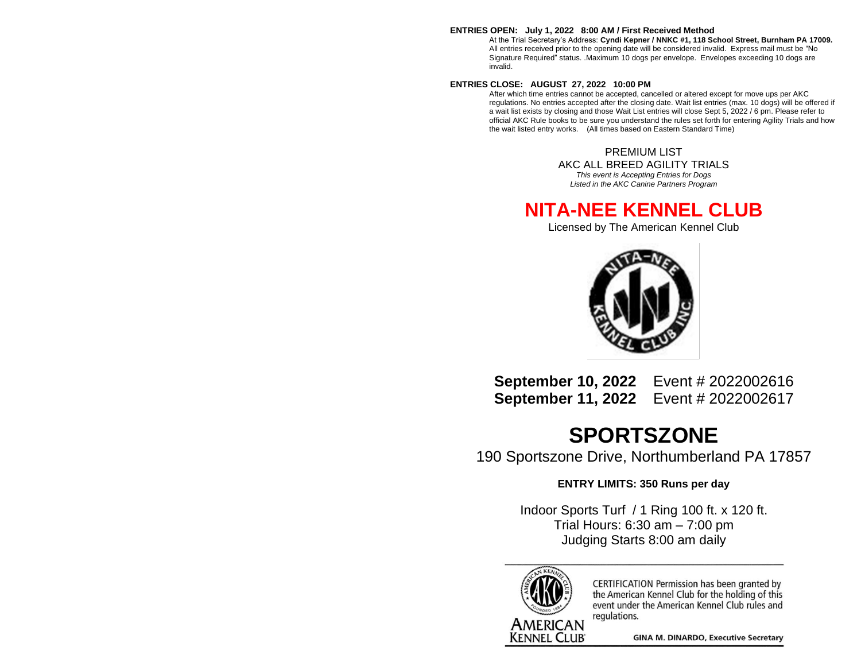#### **ENTRIES OPEN: July 1, 2022 8:00 AM / First Received Method**

At the Trial Secretary's Address: **Cyndi Kepner / NNKC #1, 118 School Street, Burnham PA 17009.** All entries received prior to the opening date will be considered invalid. Express mail must be "No Signature Required" status. .Maximum 10 dogs per envelope. Envelopes exceeding 10 dogs are invalid.

#### **ENTRIES CLOSE: AUGUST 27, 2022 10:00 PM**

After which time entries cannot be accepted, cancelled or altered except for move ups per AKC regulations. No entries accepted after the closing date. Wait list entries (max. 10 dogs) will be offered if a wait list exists by closing and those Wait List entries will close Sept 5, 2022 / 6 pm. Please refer to official AKC Rule books to be sure you understand the rules set forth for entering Agility Trials and how the wait listed entry works. (All times based on Eastern Standard Time)

> PREMIUM LIST AKC ALL BREED AGILITY TRIALS *This event is Accepting Entries for Dogs*

*Listed in the AKC Canine Partners Program*

### **NITA-NEE KENNEL CLUB**

Licensed by The American Kennel Club



**September 10, 2022** Event # 2022002616 **September 11, 2022** Event # 2022002617

## **SPORTSZONE**

190 Sportszone Drive, Northumberland PA 17857

**ENTRY LIMITS: 350 Runs per day**

Indoor Sports Turf / 1 Ring 100 ft. x 120 ft. Trial Hours: 6:30 am – 7:00 pm Judging Starts 8:00 am daily



CERTIFICATION Permission has been granted by the American Kennel Club for the holding of this event under the American Kennel Club rules and regulations.

**GINA M. DINARDO, Executive Secretary**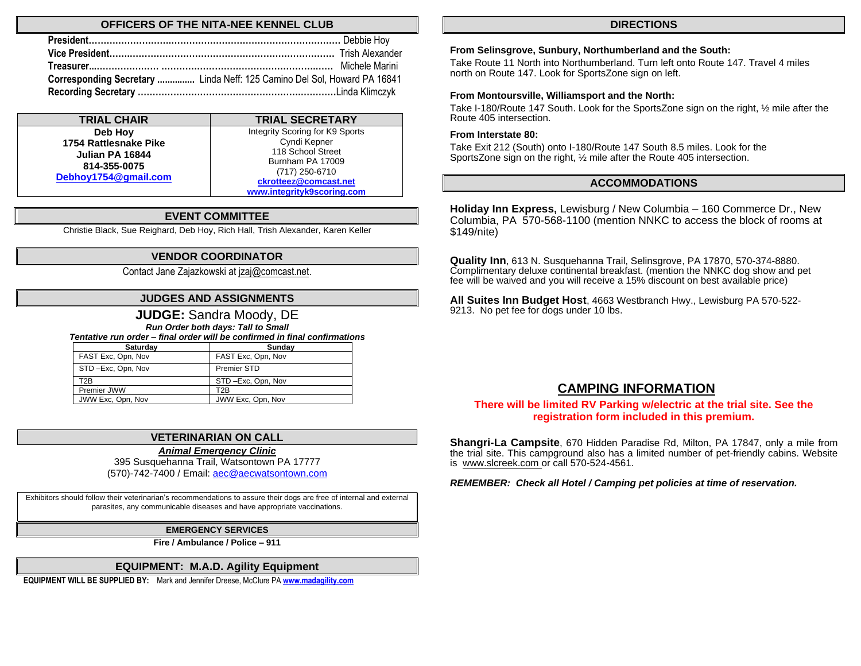#### **OFFICERS OF THE NITA-NEE KENNEL CLUB**

| Corresponding Secretary  Linda Neff: 125 Camino Del Sol, Howard PA 16841 |  |
|--------------------------------------------------------------------------|--|
|                                                                          |  |

| <b>TRIAL CHAIR</b>                   | <b>TRIAL SECRETARY</b>          |
|--------------------------------------|---------------------------------|
| Deb Hoy                              | Integrity Scoring for K9 Sports |
| 1754 Rattlesnake Pike                | Cyndi Kepner                    |
| Julian PA 16844                      | 118 School Street               |
| 814-355-0075<br>Debhoy1754@gmail.com | Burnham PA 17009                |
|                                      | (717) 250-6710                  |
|                                      | ckrotteez@comcast.net           |
|                                      | www.integrityk9scoring.com      |

#### **EVENT COMMITTEE**

Christie Black, Sue Reighard, Deb Hoy, Rich Hall, Trish Alexander, Karen Keller

#### **VENDOR COORDINATOR**

Contact Jane Zajazkowski a[t jzaj@comcast.net.](mailto:jzaj@comcast.net)

#### **JUDGES AND ASSIGNMENTS**

#### **JUDGE:** Sandra Moody, DE

*Run Order both days: Tall to Small*

*Tentative run order – final order will be confirmed in final confirmations*

| Saturdav           | Sundav             |
|--------------------|--------------------|
| FAST Exc, Opn, Nov | FAST Exc, Opn, Nov |
| STD-Exc, Opn, Nov  | <b>Premier STD</b> |
| T <sub>2</sub> B   | STD-Exc, Opn, Nov  |
| Premier JWW        | T2R                |
| JWW Exc, Opn, Nov  | JWW Exc, Opn, Nov  |

#### **VETERINARIAN ON CALL**

*Animal Emergency Clinic*

395 Susquehanna Trail, Watsontown PA 17777 (570)-742-7400 / Email[: aec@aecwatsontown.com](mailto:aec@aecwatsontown.com)

Exhibitors should follow their veterinarian's recommendations to assure their dogs are free of internal and external parasites, any communicable diseases and have appropriate vaccinations.

#### **EMERGENCY SERVICES**

**Fire / Ambulance / Police – 911**

#### **EQUIPMENT: M.A.D. Agility Equipment**

**EQUIPMENT WILL BE SUPPLIED BY:** Mark and Jennifer Dreese, McClure PA **[www.madagility.com](http://www.madagility.com/)**

#### **DIRECTIONS**

#### **From Selinsgrove, Sunbury, Northumberland and the South:**

Take Route 11 North into Northumberland. Turn left onto Route 147. Travel 4 miles north on Route 147. Look for SportsZone sign on left.

#### **From Montoursville, Williamsport and the North:**

Take I-180/Route 147 South. Look for the SportsZone sign on the right, ½ mile after the Route 405 intersection.

#### **From Interstate 80:**

Take Exit 212 (South) onto I-180/Route 147 South 8.5 miles. Look for the SportsZone sign on the right, ½ mile after the Route 405 intersection.

#### **ACCOMMODATIONS**

**Holiday Inn Express,** Lewisburg / New Columbia – 160 Commerce Dr., New Columbia, PA 570-568-1100 (mention NNKC to access the block of rooms at \$149/nite)

**Quality Inn**, 613 N. Susquehanna Trail, Selinsgrove, PA 17870, 570-374-8880. Complimentary deluxe continental breakfast. (mention the NNKC dog show and pet fee will be waived and you will receive a 15% discount on best available price)

**All Suites Inn Budget Host**, 4663 Westbranch Hwy., Lewisburg PA 570-522- 9213. No pet fee for dogs under 10 lbs.

#### **CAMPING INFORMATION**

#### **There will be limited RV Parking w/electric at the trial site. See the registration form included in this premium.**

**Shangri-La Campsite**, 670 Hidden Paradise Rd, Milton, PA 17847, only a mile from the trial site. This campground also has a limited number of pet-friendly cabins. Website is [www.slcreek.com](http://www.slcreek.com/) or call 570-524-4561.

*REMEMBER: Check all Hotel / Camping pet policies at time of reservation.*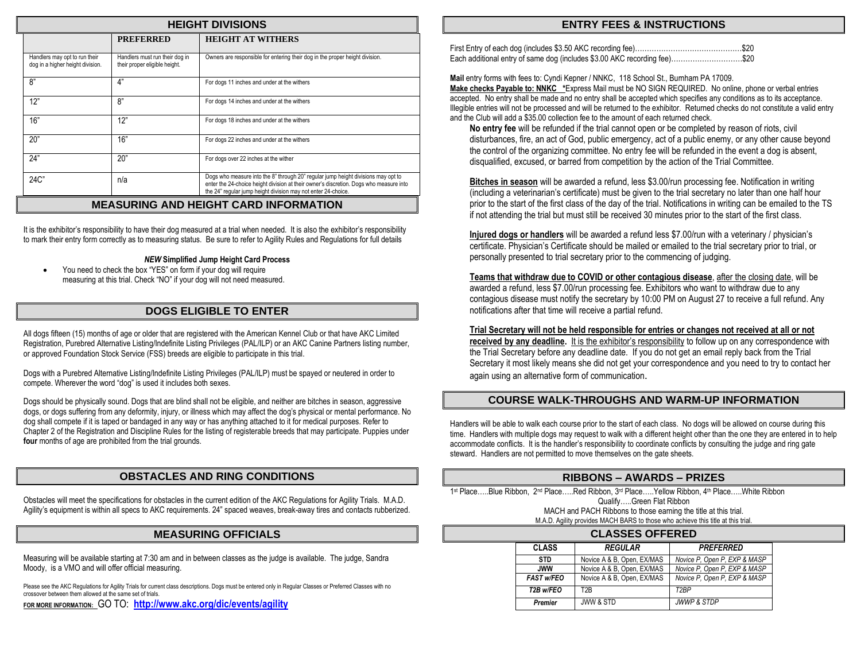| <b>HEIGHT DIVISIONS</b> |                                                                   |                                                                 |                                                                                                                                                                                                                                              |  |  |  |  |  |
|-------------------------|-------------------------------------------------------------------|-----------------------------------------------------------------|----------------------------------------------------------------------------------------------------------------------------------------------------------------------------------------------------------------------------------------------|--|--|--|--|--|
|                         | <b>HEIGHT AT WITHERS</b><br><b>PREFERRED</b>                      |                                                                 |                                                                                                                                                                                                                                              |  |  |  |  |  |
|                         | Handlers may opt to run their<br>dog in a higher height division. | Handlers must run their dog in<br>their proper eligible height. | Owners are responsible for entering their dog in the proper height division.                                                                                                                                                                 |  |  |  |  |  |
| ጸ"                      |                                                                   | 4"                                                              | For dogs 11 inches and under at the withers                                                                                                                                                                                                  |  |  |  |  |  |
|                         | 12"                                                               | 8"                                                              | For dogs 14 inches and under at the withers                                                                                                                                                                                                  |  |  |  |  |  |
|                         | 16"                                                               | 12"                                                             | For dogs 18 inches and under at the withers                                                                                                                                                                                                  |  |  |  |  |  |
|                         | 20"                                                               | 16"                                                             | For dogs 22 inches and under at the withers                                                                                                                                                                                                  |  |  |  |  |  |
|                         | 24"                                                               | 20"                                                             | For dogs over 22 inches at the wither                                                                                                                                                                                                        |  |  |  |  |  |
|                         | $24C$ "                                                           | n/a                                                             | Dogs who measure into the 8" through 20" regular jump height divisions may opt to<br>enter the 24-choice height division at their owner's discretion. Dogs who measure into<br>the 24" regular jump height division may not enter 24-choice. |  |  |  |  |  |

#### **MEASURING AND HEIGHT CARD INFORMATION**

It is the exhibitor's responsibility to have their dog measured at a trial when needed. It is also the exhibitor's responsibility to mark their entry form correctly as to measuring status. Be sure to refer to Agility Rules and Regulations for full details

#### *NEW* **Simplified Jump Height Card Process**

• You need to check the box "YES" on form if your dog will require measuring at this trial. Check "NO" if your dog will not need measured.

#### **DOGS ELIGIBLE TO ENTER**

All dogs fifteen (15) months of age or older that are registered with the American Kennel Club or that have AKC Limited Registration, Purebred Alternative Listing/Indefinite Listing Privileges (PAL/ILP) or an AKC Canine Partners listing number, or approved Foundation Stock Service (FSS) breeds are eligible to participate in this trial.

Dogs with a Purebred Alternative Listing/Indefinite Listing Privileges (PAL/ILP) must be spayed or neutered in order to compete. Wherever the word "dog" is used it includes both sexes.

Dogs should be physically sound. Dogs that are blind shall not be eligible, and neither are bitches in season, aggressive dogs, or dogs suffering from any deformity, injury, or illness which may affect the dog's physical or mental performance. No dog shall compete if it is taped or bandaged in any way or has anything attached to it for medical purposes. Refer to Chapter 2 of the Registration and Discipline Rules for the listing of registerable breeds that may participate. Puppies under **four** months of age are prohibited from the trial grounds.

#### **OBSTACLES AND RING CONDITIONS**

Obstacles will meet the specifications for obstacles in the current edition of the AKC Regulations for Agility Trials. M.A.D. Agility's equipment is within all specs to AKC requirements. 24" spaced weaves, break-away tires and contacts rubberized.

#### **MEASURING OFFICIALS**

Measuring will be available starting at 7:30 am and in between classes as the judge is available. The judge, Sandra Moody, is a VMO and will offer official measuring.

Please see the AKC Regulations for Agility Trials for current class descriptions. Dogs must be entered only in Regular Classes or Preferred Classes with no crossover between them allowed at the same set of trials.

**FOR MORE INFORMATION:** GO TO: **<http://www.akc.org/dic/events/agility>**

#### **ENTRY FEES & INSTRUCTIONS**

| Each additional entry of same dog (includes \$3.00 AKC recording fee)\$20 |  |
|---------------------------------------------------------------------------|--|

**Mail** entry forms with fees to: Cyndi Kepner / NNKC, 118 School St., Burnham PA 17009. **Make checks Payable to: NNKC \***Express Mail must be NO SIGN REQUIRED. No online, phone or verbal entries accepted. No entry shall be made and no entry shall be accepted which specifies any conditions as to its acceptance. Illegible entries will not be processed and will be returned to the exhibitor. Returned checks do not constitute a valid entry and the Club will add a \$35.00 collection fee to the amount of each returned check.

**No entry fee** will be refunded if the trial cannot open or be completed by reason of riots, civil disturbances, fire, an act of God, public emergency, act of a public enemy, or any other cause beyond the control of the organizing committee. No entry fee will be refunded in the event a dog is absent, disqualified, excused, or barred from competition by the action of the Trial Committee.

**Bitches in season** will be awarded a refund, less \$3.00/run processing fee. Notification in writing (including a veterinarian's certificate) must be given to the trial secretary no later than one half hour prior to the start of the first class of the day of the trial. Notifications in writing can be emailed to the TS if not attending the trial but must still be received 30 minutes prior to the start of the first class.

**Injured dogs or handlers** will be awarded a refund less \$7.00/run with a veterinary / physician's certificate. Physician's Certificate should be mailed or emailed to the trial secretary prior to trial, or personally presented to trial secretary prior to the commencing of judging.

**Teams that withdraw due to COVID or other contagious disease**, after the closing date, will be awarded a refund, less \$7.00/run processing fee. Exhibitors who want to withdraw due to any contagious disease must notify the secretary by 10:00 PM on August 27 to receive a full refund. Any notifications after that time will receive a partial refund.

**Trial Secretary will not be held responsible for entries or changes not received at all or not received by any deadline.** It is the exhibitor's responsibility to follow up on any correspondence with the Trial Secretary before any deadline date. If you do not get an email reply back from the Trial Secretary it most likely means she did not get your correspondence and you need to try to contact her again using an alternative form of communication.

#### **COURSE WALK-THROUGHS AND WARM-UP INFORMATION**

Handlers will be able to walk each course prior to the start of each class. No dogs will be allowed on course during this time. Handlers with multiple dogs may request to walk with a different height other than the one they are entered in to help accommodate conflicts. It is the handler's responsibility to coordinate conflicts by consulting the judge and ring gate steward. Handlers are not permitted to move themselves on the gate sheets.

#### **RIBBONS – AWARDS – PRIZES**

1st Place.....Blue Ribbon, 2<sup>nd</sup> Place.....Red Ribbon, 3<sup>rd</sup> Place.....Yellow Ribbon, 4<sup>th</sup> Place.....White Ribbon Qualify…..Green Flat Ribbon MACH and PACH Ribbons to those earning the title at this trial. M.A.D. Agility provides MACH BARS to those who achieve this title at this trial.

| <b>CLASSES OFFERED</b> |                            |                              |  |  |  |
|------------------------|----------------------------|------------------------------|--|--|--|
| <b>CLASS</b>           | <b>REGULAR</b>             | <b>PREFERRED</b>             |  |  |  |
| <b>STD</b>             | Novice A & B, Open, EX/MAS | Novice P, Open P, EXP & MASP |  |  |  |
| <b>JWW</b>             | Novice A & B, Open, EX/MAS | Novice P. Open P. EXP & MASP |  |  |  |
| <b>FAST w/FEO</b>      | Novice A & B, Open, EX/MAS | Novice P. Open P. EXP & MASP |  |  |  |
| T2B w/FEO              | T <sub>2</sub> R           | T <sub>2</sub> RP            |  |  |  |
| <b>Premier</b>         | <b>JWW &amp; STD</b>       | <b>JWWP &amp; STDP</b>       |  |  |  |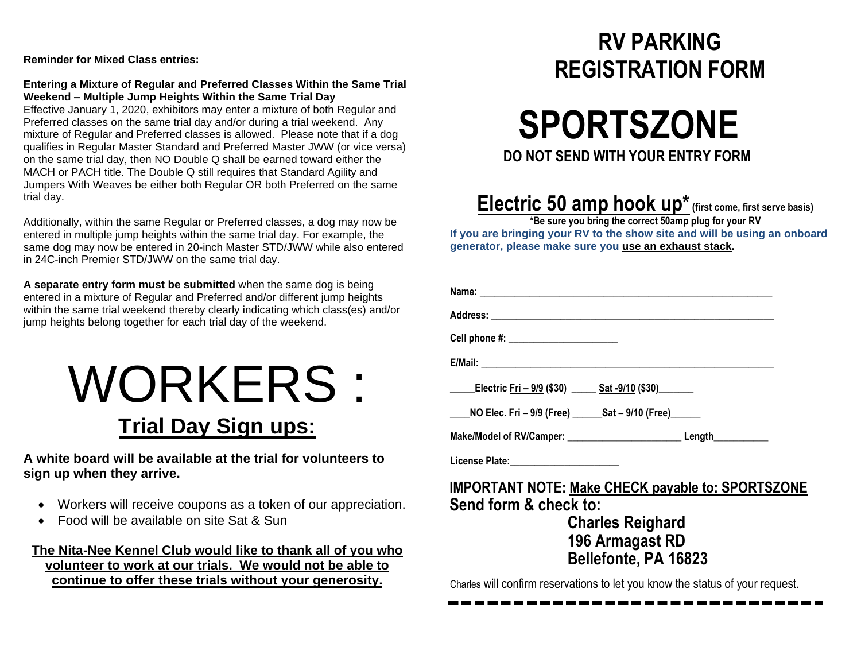**Reminder for Mixed Class entries:**

#### **Entering a Mixture of Regular and Preferred Classes Within the Same Trial Weekend – Multiple Jump Heights Within the Same Trial Day**

Effective January 1, 2020, exhibitors may enter a mixture of both Regular and Preferred classes on the same trial day and/or during a trial weekend. Any mixture of Regular and Preferred classes is allowed. Please note that if a dog qualifies in Regular Master Standard and Preferred Master JWW (or vice versa) on the same trial day, then NO Double Q shall be earned toward either the MACH or PACH title. The Double Q still requires that Standard Agility and Jumpers With Weaves be either both Regular OR both Preferred on the same trial day.

Additionally, within the same Regular or Preferred classes, a dog may now be entered in multiple jump heights within the same trial day. For example, the same dog may now be entered in 20-inch Master STD/JWW while also entered in 24C-inch Premier STD/JWW on the same trial day.

**A separate entry form must be submitted** when the same dog is being entered in a mixture of Regular and Preferred and/or different jump heights within the same trial weekend thereby clearly indicating which class(es) and/or jump heights belong together for each trial day of the weekend.

## WORKERS : **Trial Day Sign ups:**

**A white board will be available at the trial for volunteers to sign up when they arrive.**

- Workers will receive coupons as a token of our appreciation.
- Food will be available on site Sat & Sun

#### **The Nita-Nee Kennel Club would like to thank all of you who volunteer to work at our trials. We would not be able to continue to offer these trials without your generosity.**

## **RV PARKING REGISTRATION FORM**



## **Electric 50 amp hook up\* (first come, first serve basis)**

**\*Be sure you bring the correct 50amp plug for your RV If you are bringing your RV to the show site and will be using an onboard generator, please make sure you use an exhaust stack.**

| Cell phone #: _______________________                    |  |  |  |  |  |
|----------------------------------------------------------|--|--|--|--|--|
|                                                          |  |  |  |  |  |
|                                                          |  |  |  |  |  |
|                                                          |  |  |  |  |  |
|                                                          |  |  |  |  |  |
| License Plate:_________________________                  |  |  |  |  |  |
| <b>IMPORTANT NOTE: Make CHECK payable to: SPORTSZONE</b> |  |  |  |  |  |
| Send form & check to:                                    |  |  |  |  |  |
| <b>Charles Reighard</b>                                  |  |  |  |  |  |
| 196 Armagast RD                                          |  |  |  |  |  |
| Bellefonte, PA 16823                                     |  |  |  |  |  |
|                                                          |  |  |  |  |  |

Charles will confirm reservations to let you know the status of your request.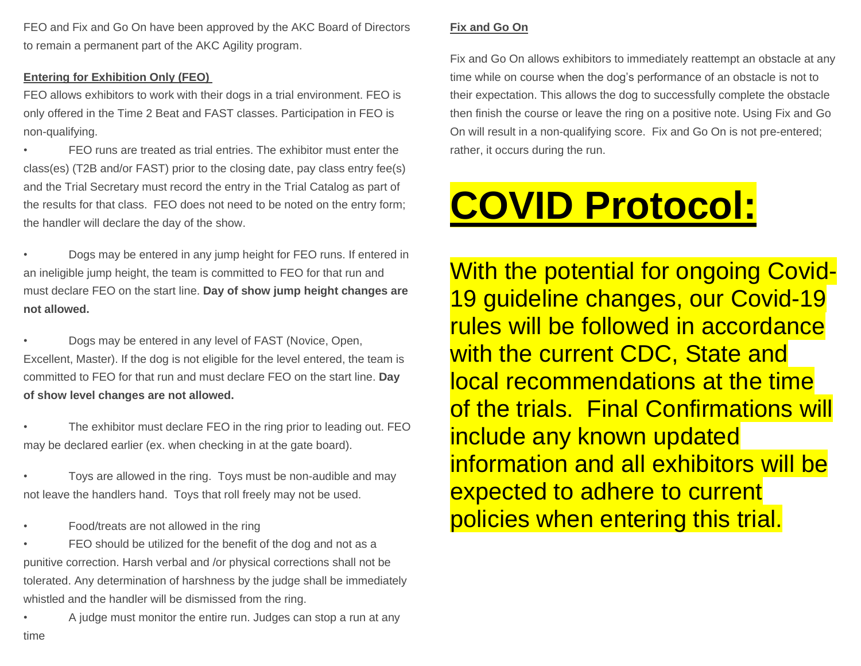FEO and Fix and Go On have been approved by the AKC Board of Directors to remain a permanent part of the AKC Agility program.

#### **Entering for Exhibition Only (FEO)**

FEO allows exhibitors to work with their dogs in a trial environment. FEO is only offered in the Time 2 Beat and FAST classes. Participation in FEO is non-qualifying.

• FEO runs are treated as trial entries. The exhibitor must enter the class(es) (T2B and/or FAST) prior to the closing date, pay class entry fee(s) and the Trial Secretary must record the entry in the Trial Catalog as part of the results for that class. FEO does not need to be noted on the entry form; the handler will declare the day of the show.

• Dogs may be entered in any jump height for FEO runs. If entered in an ineligible jump height, the team is committed to FEO for that run and must declare FEO on the start line. **Day of show jump height changes are not allowed.**

• Dogs may be entered in any level of FAST (Novice, Open, Excellent, Master). If the dog is not eligible for the level entered, the team is committed to FEO for that run and must declare FEO on the start line. **Day of show level changes are not allowed.**

The exhibitor must declare FEO in the ring prior to leading out. FEO may be declared earlier (ex. when checking in at the gate board).

• Toys are allowed in the ring. Toys must be non-audible and may not leave the handlers hand. Toys that roll freely may not be used.

• Food/treats are not allowed in the ring

FEO should be utilized for the benefit of the dog and not as a punitive correction. Harsh verbal and /or physical corrections shall not be tolerated. Any determination of harshness by the judge shall be immediately whistled and the handler will be dismissed from the ring.

• A judge must monitor the entire run. Judges can stop a run at any time

#### **Fix and Go On**

Fix and Go On allows exhibitors to immediately reattempt an obstacle at any time while on course when the dog's performance of an obstacle is not to their expectation. This allows the dog to successfully complete the obstacle then finish the course or leave the ring on a positive note. Using Fix and Go On will result in a non-qualifying score. Fix and Go On is not pre-entered; rather, it occurs during the run.

# **COVID Protocol:**

With the potential for ongoing Covid-19 guideline changes, our Covid-19 rules will be followed in accordance with the current CDC, State and local recommendations at the time of the trials. Final Confirmations will include any known updated information and all exhibitors will be expected to adhere to current policies when entering this trial.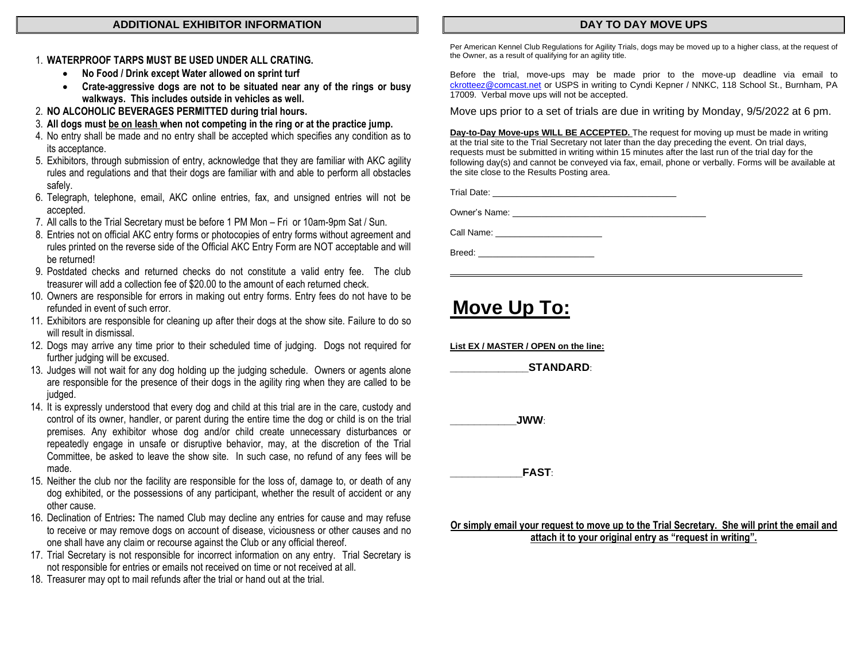#### **ADDITIONAL EXHIBITOR INFORMATION**

#### 1. **WATERPROOF TARPS MUST BE USED UNDER ALL CRATING.**

- **No Food / Drink except Water allowed on sprint turf**
- **Crate-aggressive dogs are not to be situated near any of the rings or busy walkways. This includes outside in vehicles as well.**
- 2. **NO ALCOHOLIC BEVERAGES PERMITTED during trial hours.**
- 3. **All dogs must be on leash when not competing in the ring or at the practice jump.**
- 4. No entry shall be made and no entry shall be accepted which specifies any condition as to its acceptance.
- 5. Exhibitors, through submission of entry, acknowledge that they are familiar with AKC agility rules and regulations and that their dogs are familiar with and able to perform all obstacles safely.
- 6. Telegraph, telephone, email, AKC online entries, fax, and unsigned entries will not be accepted.
- 7. All calls to the Trial Secretary must be before 1 PM Mon Fri or 10am-9pm Sat / Sun.
- 8. Entries not on official AKC entry forms or photocopies of entry forms without agreement and rules printed on the reverse side of the Official AKC Entry Form are NOT acceptable and will be returned!
- 9. Postdated checks and returned checks do not constitute a valid entry fee. The club treasurer will add a collection fee of \$20.00 to the amount of each returned check.
- 10. Owners are responsible for errors in making out entry forms. Entry fees do not have to be refunded in event of such error.
- 11. Exhibitors are responsible for cleaning up after their dogs at the show site. Failure to do so will result in dismissal.
- 12. Dogs may arrive any time prior to their scheduled time of judging. Dogs not required for further judging will be excused.
- 13. Judges will not wait for any dog holding up the judging schedule. Owners or agents alone are responsible for the presence of their dogs in the agility ring when they are called to be judged.
- 14. It is expressly understood that every dog and child at this trial are in the care, custody and control of its owner, handler, or parent during the entire time the dog or child is on the trial premises. Any exhibitor whose dog and/or child create unnecessary disturbances or repeatedly engage in unsafe or disruptive behavior, may, at the discretion of the Trial Committee, be asked to leave the show site. In such case, no refund of any fees will be made.
- 15. Neither the club nor the facility are responsible for the loss of, damage to, or death of any dog exhibited, or the possessions of any participant, whether the result of accident or any other cause.
- 16. Declination of Entries**:** The named Club may decline any entries for cause and may refuse to receive or may remove dogs on account of disease, viciousness or other causes and no one shall have any claim or recourse against the Club or any official thereof.
- 17. Trial Secretary is not responsible for incorrect information on any entry. Trial Secretary is not responsible for entries or emails not received on time or not received at all.
- 18. Treasurer may opt to mail refunds after the trial or hand out at the trial.

#### **DAY TO DAY MOVE UPS**

Per American Kennel Club Regulations for Agility Trials, dogs may be moved up to a higher class, at the request of the Owner, as a result of qualifying for an agility title.

Before the trial, move-ups may be made prior to the move-up deadline via email to [ckrotteez@comcast.net](mailto:ckrotteez@comcast.net) or USPS in writing to Cyndi Kepner / NNKC, 118 School St., Burnham, PA 17009. Verbal move ups will not be accepted.

Move ups prior to a set of trials are due in writing by Monday, 9/5/2022 at 6 pm.

**Day-to-Day Move-ups WILL BE ACCEPTED.** The request for moving up must be made in writing at the trial site to the Trial Secretary not later than the day preceding the event. On trial days, requests must be submitted in writing within 15 minutes after the last run of the trial day for the following day(s) and cannot be conveyed via fax, email, phone or verbally. Forms will be available at the site close to the Results Posting area.

Trial Date: \_\_\_\_\_\_\_\_\_\_\_\_\_\_\_\_\_\_\_\_\_\_\_\_\_\_\_\_\_\_\_\_\_\_\_\_\_\_

Owner's Name:

Call Name: \_\_\_\_\_\_\_\_\_\_\_\_\_\_\_\_\_\_\_\_\_\_

Breed: \_\_\_\_\_\_\_\_\_\_\_\_\_\_\_\_\_\_\_\_\_\_\_\_

## **Move Up To:**

**List EX / MASTER / OPEN on the line:**

 $STANDARD:$ 

**\_\_\_\_\_\_\_\_\_\_\_JWW**:

**\_\_\_\_\_\_\_\_\_\_\_\_FAST**:

**Or simply email your request to move up to the Trial Secretary. She will print the email and attach it to your original entry as "request in writing".**